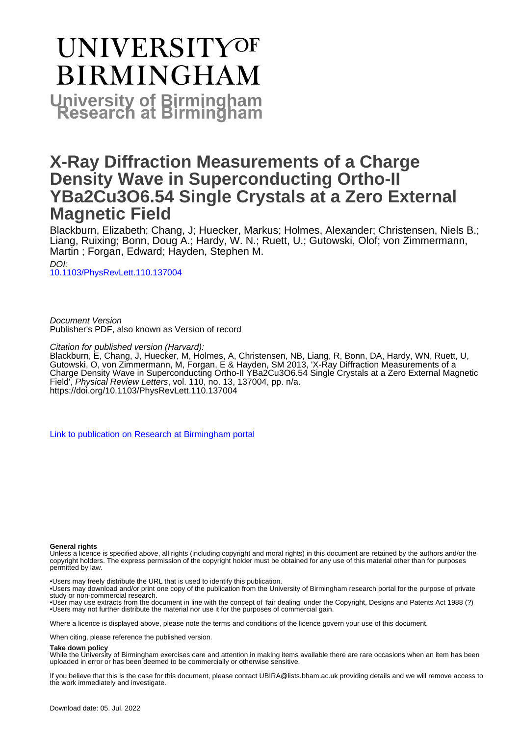# **UNIVERSITYOF BIRMINGHAM University of Birmingham**

## **X-Ray Diffraction Measurements of a Charge Density Wave in Superconducting Ortho-II YBa2Cu3O6.54 Single Crystals at a Zero External Magnetic Field**

Blackburn, Elizabeth; Chang, J; Huecker, Markus; Holmes, Alexander; Christensen, Niels B.; Liang, Ruixing; Bonn, Doug A.; Hardy, W. N.; Ruett, U.; Gutowski, Olof; von Zimmermann, Martin ; Forgan, Edward; Hayden, Stephen M.

DOI: [10.1103/PhysRevLett.110.137004](https://doi.org/10.1103/PhysRevLett.110.137004)

Document Version Publisher's PDF, also known as Version of record

#### Citation for published version (Harvard):

Blackburn, E, Chang, J, Huecker, M, Holmes, A, Christensen, NB, Liang, R, Bonn, DA, Hardy, WN, Ruett, U, Gutowski, O, von Zimmermann, M, Forgan, E & Hayden, SM 2013, 'X-Ray Diffraction Measurements of a Charge Density Wave in Superconducting Ortho-II YBa2Cu3O6.54 Single Crystals at a Zero External Magnetic Field<sup>"</sup>, *Physical Review Letters*, vol. 110, no. 13, 137004, pp. n/a. <https://doi.org/10.1103/PhysRevLett.110.137004>

[Link to publication on Research at Birmingham portal](https://birmingham.elsevierpure.com/en/publications/81ca6e3c-5f6f-48e3-a2a0-24e60ee48b44)

#### **General rights**

Unless a licence is specified above, all rights (including copyright and moral rights) in this document are retained by the authors and/or the copyright holders. The express permission of the copyright holder must be obtained for any use of this material other than for purposes permitted by law.

• Users may freely distribute the URL that is used to identify this publication.

- • Users may download and/or print one copy of the publication from the University of Birmingham research portal for the purpose of private study or non-commercial research.
- • User may use extracts from the document in line with the concept of 'fair dealing' under the Copyright, Designs and Patents Act 1988 (?) • Users may not further distribute the material nor use it for the purposes of commercial gain.

Where a licence is displayed above, please note the terms and conditions of the licence govern your use of this document.

When citing, please reference the published version.

#### **Take down policy**

While the University of Birmingham exercises care and attention in making items available there are rare occasions when an item has been uploaded in error or has been deemed to be commercially or otherwise sensitive.

If you believe that this is the case for this document, please contact UBIRA@lists.bham.ac.uk providing details and we will remove access to the work immediately and investigate.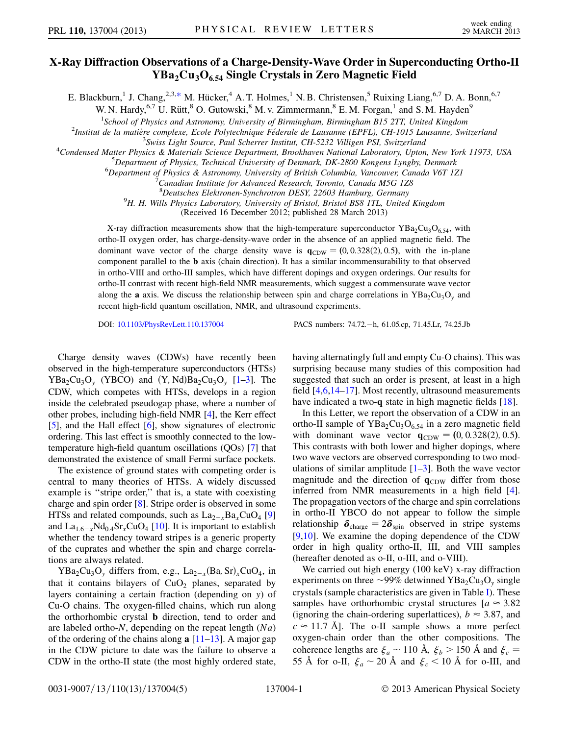### X-Ray Diffraction Observations of a Charge-Density-Wave Order in Superconducting Ortho-II  $YBa<sub>2</sub>Cu<sub>3</sub>O<sub>654</sub>$  Single Crystals in Zero Magnetic Field

<span id="page-1-0"></span>E. Blackburn,<sup>1</sup> J. Chang,<sup>2,3,[\\*](#page-5-0)</sup> M. Hücker,<sup>4</sup> A. T. Holmes,<sup>1</sup> N. B. Christensen,<sup>5</sup> Ruixing Liang,<sup>6,7</sup> D. A. Bonn,<sup>6,7</sup>

W. N. Hardy,  $6.7$  U. Rütt,  $8$  O. Gutowski,  $8$  M. v. Zimmermann,  $8$  E. M. Forgan,  $1$  and S. M. Hayden  $9$ 

<sup>1</sup>School of Physics and Astronomy, University of Birmingham, Birmingham B15 2TT, United Kingdom<sup>1</sup><br><sup>2</sup>Institut de la matière complexe, Ecole Pobytechnique Eéderale de Lausanne (EPEL), CH 1015 Lausanne, Swi

<sup>2</sup>Institut de la matière complexe, Ecole Polytechnique Féderale de Lausanne (EPFL), CH-1015 Lausanne, Switzerland

 $^4$ Condensed Matter Physics & Materials Science Department, Brookhaven National Laboratory, Upton, New York 11973, USA

 $^{5}$ Department of Physics, Technical University of Denmark, DK-2800 Kongens Lyngby, Denmark

 ${}^{6}$ Department of Physics & Astronomy, University of British Columbia, Vancouver, Canada V6T 1Z1

Canadian Institute for Advanced Research, Toronto, Canada M5G 1Z8

<sup>8</sup> Deutsches Elektronen-Synchrotron DESY, 22603 Hamburg, Germany<br><sup>9</sup>H H Wills Physics Laboratory, University of Bristol, Bristol BS8 1TL United

 $^{9}H$ . H. Wills Physics Laboratory, University of Bristol, Bristol BS8 1TL, United Kingdom

(Received 16 December 2012; published 28 March 2013)

X-ray diffraction measurements show that the high-temperature superconductor  $YBa_2Cu_3O_{6,54}$ , with ortho-II oxygen order, has charge-density-wave order in the absence of an applied magnetic field. The dominant wave vector of the charge density wave is  $q_{CDW} = (0, 0.328(2), 0.5)$ , with the in-plane component parallel to the b axis (chain direction). It has a similar incommensurability to that observed in ortho-VIII and ortho-III samples, which have different dopings and oxygen orderings. Our results for ortho-II contrast with recent high-field NMR measurements, which suggest a commensurate wave vector along the **a** axis. We discuss the relationship between spin and charge correlations in YBa<sub>2</sub>Cu<sub>3</sub>O<sub>y</sub> and recent high-field quantum oscillation, NMR, and ultrasound experiments.

DOI: [10.1103/PhysRevLett.110.137004](http://dx.doi.org/10.1103/PhysRevLett.110.137004) PACS numbers: 74.72. - h, 61.05.cp, 71.45.Lr, 74.25.Jb

Charge density waves (CDWs) have recently been observed in the high-temperature superconductors (HTSs)  $YBa<sub>2</sub>Cu<sub>3</sub>O<sub>v</sub>$  (YBCO) and  $(Y, Nd)Ba<sub>2</sub>Cu<sub>3</sub>O<sub>v</sub>$  [\[1](#page-5-1)[–3](#page-5-2)]. The CDW, which competes with HTSs, develops in a region inside the celebrated pseudogap phase, where a number of other probes, including high-field NMR [[4\]](#page-5-3), the Kerr effect [\[5](#page-5-4)], and the Hall effect [\[6](#page-5-5)], show signatures of electronic ordering. This last effect is smoothly connected to the lowtemperature high-field quantum oscillations (QOs) [[7\]](#page-5-6) that demonstrated the existence of small Fermi surface pockets.

The existence of ground states with competing order is central to many theories of HTSs. A widely discussed example is "stripe order," that is, a state with coexisting charge and spin order [\[8](#page-5-7)]. Stripe order is observed in some HTSs and related compounds, such as  $\text{La}_{2-x}\text{Ba}_x\text{CuO}_4$  [\[9\]](#page-5-8) and  $La_{1.6-x}Nd_{0.4}Sr_xCuO_4$  [[10\]](#page-5-9). It is important to establish whether the tendency toward stripes is a generic property of the cuprates and whether the spin and charge correlations are always related.

 $YBa<sub>2</sub>Cu<sub>3</sub>O<sub>v</sub>$  differs from, e.g.,  $La<sub>2-x</sub>(Ba, Sr)<sub>x</sub>CuO<sub>4</sub>$ , in that it contains bilayers of  $CuO<sub>2</sub>$  planes, separated by layers containing a certain fraction (depending on y) of Cu-O chains. The oxygen-filled chains, which run along the orthorhombic crystal b direction, tend to order and are labeled ortho- $N$ , depending on the repeat length  $(Na)$ of the ordering of the chains along  $a$  [\[11–](#page-5-10)[13](#page-5-11)]. A major gap in the CDW picture to date was the failure to observe a CDW in the ortho-II state (the most highly ordered state, having alternatingly full and empty Cu-O chains). This was surprising because many studies of this composition had suggested that such an order is present, at least in a high field [[4](#page-5-3),[6](#page-5-5)[,14](#page-5-12)[–17\]](#page-5-13). Most recently, ultrasound measurements have indicated a two-q state in high magnetic fields [\[18\]](#page-5-14).

In this Letter, we report the observation of a CDW in an ortho-II sample of  $YBa<sub>2</sub>Cu<sub>3</sub>O<sub>6.54</sub>$  in a zero magnetic field with dominant wave vector  $q_{CDW} = (0, 0.328(2), 0.5)$ . This contrasts with both lower and higher dopings, where two wave vectors are observed corresponding to two modulations of similar amplitude  $[1-3]$  $[1-3]$  $[1-3]$ . Both the wave vector magnitude and the direction of  $q_{CDW}$  differ from those inferred from NMR measurements in a high field [[4\]](#page-5-3). The propagation vectors of the charge and spin correlations in ortho-II YBCO do not appear to follow the simple relationship  $\delta_{\text{charge}} = 2\delta_{\text{spin}}$  observed in stripe systems [\[9,](#page-5-8)[10\]](#page-5-9). We examine the doping dependence of the CDW order in high quality ortho-II, III, and VIII samples (hereafter denoted as o-II, o-III, and o-VIII).

We carried out high energy (100 keV) x-ray diffraction experiments on three  $\sim$ 99% detwinned YBa<sub>2</sub>Cu<sub>3</sub>O<sub>y</sub> single crystals (sample characteristics are given in Table [I\)](#page-2-0). These samples have orthorhombic crystal structures  $[a \approx 3.82]$ (ignoring the chain-ordering superlattices),  $b \approx 3.87$ , and  $c \approx 11.7$  Å. The o-II sample shows a more perfect oxygen-chain order than the other compositions. The coherence lengths are  $\xi_a \sim 110 \text{ Å}$ ,  $\xi_b > 150 \text{ Å}$  and  $\xi_c =$ 55 Å for o-II,  $\xi_a \sim 20$  Å and  $\xi_c \le 10$  Å for o-III, and

 $3$ Swiss Light Source, Paul Scherrer Institut, CH-5232 Villigen PSI, Switzerland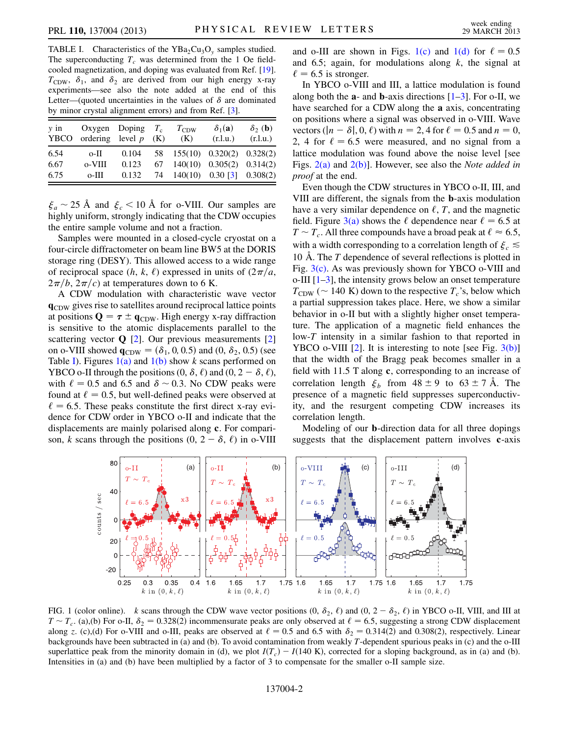<span id="page-2-0"></span>TABLE I. Characteristics of the  $YBa<sub>2</sub>Cu<sub>3</sub>O<sub>v</sub>$  samples studied. The superconducting  $T_c$  was determined from the 1 Oe fieldcooled magnetization, and doping was evaluated from Ref. [\[19\]](#page-5-16).  $T_{CDW}$ ,  $\delta_1$ , and  $\delta_2$  are derived from our high energy x-ray experiments—see also the note added at the end of this Letter—(quoted uncertainties in the values of  $\delta$  are dominated by minor crystal alignment errors) and from Ref. [\[3](#page-5-2)].

| $v$ in | YBCO ordering level $p$ | Oxygen Doping $T_c$ | (K) | $T_{\rm CDW}$<br>(K) | $\delta_1(\mathbf{a})$<br>(r.l.u.) | $\delta_2$ (b)<br>(r.l.u.) |
|--------|-------------------------|---------------------|-----|----------------------|------------------------------------|----------------------------|
| 6.54   | o-II -                  | 0.104               |     |                      | 58 155(10) 0.320(2) 0.328(2)       |                            |
| 6.67   | 0-VIII                  | 0.123               |     |                      | $67$ 140(10) 0.305(2) 0.314(2)     |                            |
| 6.75   | $0$ -III                | 0.132               |     |                      | 74 $140(10)$ 0.30 [3] 0.308(2)     |                            |

 $\xi_a \sim 25$  Å and  $\xi_c \sim 10$  Å for o-VIII. Our samples are highly uniform, strongly indicating that the CDW occupies the entire sample volume and not a fraction.

Samples were mounted in a closed-cycle cryostat on a four-circle diffractometer on beam line BW5 at the DORIS storage ring (DESY). This allowed access to a wide range of reciprocal space  $(h, k, \ell)$  expressed in units of  $\left(2\pi/a\right)$ ,  $2\pi/b$ ,  $2\pi/c$ ) at temperatures down to 6 K.

A CDW modulation with characteristic wave vector qCDW gives rise to satellites around reciprocal lattice points at positions  $\mathbf{Q} = \boldsymbol{\tau} \pm \mathbf{q}_{CDW}$ . High energy x-ray diffraction is sensitive to the atomic displacements parallel to the scattering vector  $Q$  [[2](#page-5-15)]. Our previous measurements [\[2\]](#page-5-15) on o-VIII showed  $\mathbf{q}_{CDW} = (\delta_1, 0, 0.5)$  and  $(0, \delta_2, 0.5)$  (see Table [I](#page-2-0)). Figures  $1(a)$  and  $1(b)$  show k scans performed on YBCO o-II through the positions  $(0, \delta, \ell)$  and  $(0, 2 - \delta, \ell)$ , with  $\ell = 0.5$  and 6.5 and  $\delta \sim 0.3$ . No CDW peaks were found at  $\ell = 0.5$ , but well-defined peaks were observed at  $\ell = 6.5$ . These peaks constitute the first direct x-ray evidence for CDW order in YBCO o-II and indicate that the displacements are mainly polarised along c. For comparison, k scans through the positions  $(0, 2 - \delta, \ell)$  in o-VIII and o-III are shown in Figs. [1\(c\)](#page-2-1) and [1\(d\)](#page-2-1) for  $\ell = 0.5$ and 6.5; again, for modulations along  $k$ , the signal at  $\ell = 6.5$  is stronger.

In YBCO o-VIII and III, a lattice modulation is found along both the  $a$ - and  $b$ -axis directions  $[1-3]$  $[1-3]$  $[1-3]$ . For o-II, we have searched for a CDW along the a axis, concentrating on positions where a signal was observed in o-VIII. Wave vectors ( $|n - \delta|$ , 0,  $\ell$ ) with  $n = 2$ , 4 for  $\ell = 0.5$  and  $n = 0$ , 2, 4 for  $\ell = 6.5$  were measured, and no signal from a lattice modulation was found above the noise level [see Figs.  $2(a)$  and  $2(b)$ ]. However, see also the *Note added in* proof at the end.

Even though the CDW structures in YBCO o-II, III, and VIII are different, the signals from the b-axis modulation have a very similar dependence on  $\ell$ , T, and the magnetic field. Figure [3\(a\)](#page-3-1) shows the  $\ell$  dependence near  $\ell = 6.5$  at  $T \sim T_c$ . All three compounds have a broad peak at  $\ell \approx 6.5$ , with a width corresponding to a correlation length of  $\xi_c \leq$ 10 Å. The T dependence of several reflections is plotted in Fig.  $3(c)$ . As was previously shown for YBCO o-VIII and o-III  $[1-3]$  $[1-3]$  $[1-3]$ , the intensity grows below an onset temperature  $T_{\text{CDW}}$  (~ 140 K) down to the respective  $T_c$ 's, below which a partial suppression takes place. Here, we show a similar behavior in o-II but with a slightly higher onset temperature. The application of a magnetic field enhances the low-T intensity in a similar fashion to that reported in YBCO o-VIII  $[2]$ . It is interesting to note [see Fig.  $3(b)$ ] that the width of the Bragg peak becomes smaller in a field with 11.5 T along c, corresponding to an increase of correlation length  $\xi_b$  from  $48 \pm 9$  to  $63 \pm 7$  Å. The presence of a magnetic field suppresses superconductivity, and the resurgent competing CDW increases its correlation length.

Modeling of our b-direction data for all three dopings suggests that the displacement pattern involves c-axis



<span id="page-2-1"></span>FIG. 1 (color online). k scans through the CDW wave vector positions  $(0, \delta_2, \ell)$  and  $(0, 2 - \delta_2, \ell)$  in YBCO o-II, VIII, and III at  $T \sim T_c$ . (a),(b) For o-II,  $\delta_2 = 0.328(2)$  incommensurate peaks are only observed at  $\ell = 6.5$ , suggesting a strong CDW displacement along z. (c),(d) For o-VIII and o-III, peaks are observed at  $\ell = 0.5$  and 6.5 with  $\delta_2 = 0.314(2)$  and 0.308(2), respectively. Linear backgrounds have been subtracted in (a) and (b). To avoid contamination from weakly T-dependent spurious peaks in (c) and the o-III superlattice peak from the minority domain in (d), we plot  $I(T_c) - I(140 \text{ K})$ , corrected for a sloping background, as in (a) and (b). Intensities in (a) and (b) have been multiplied by a factor of 3 to compensate for the smaller o-II sample size.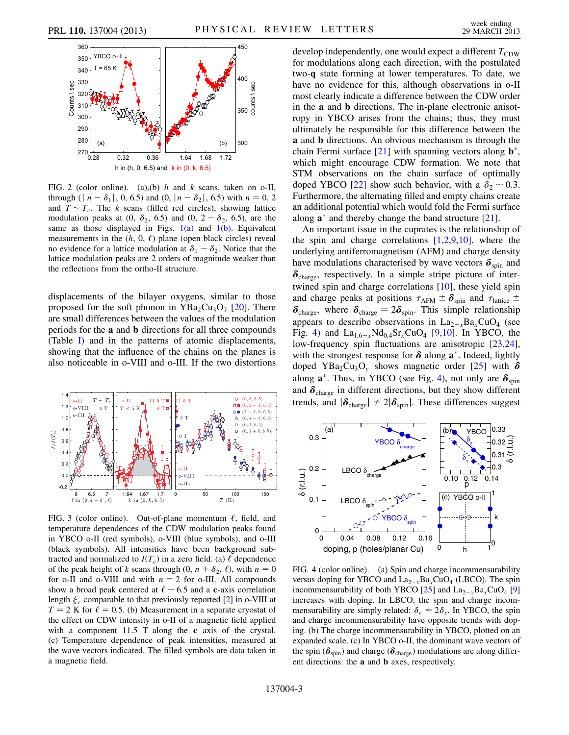

<span id="page-3-0"></span>FIG. 2 (color online). (a),(b)  $h$  and  $k$  scans, taken on o-II, through ( $|n - \delta_1|$ , 0, 6.5) and (0,  $|n - \delta_2|$ , 6.5) with  $n = 0, 2$ and  $T \sim T_c$ . The k scans (filled red circles), showing lattice modulation peaks at  $(0, \delta_2, 6.5)$  and  $(0, 2 - \delta_2, 6.5)$ , are the same as those displayed in Figs.  $1(a)$  and  $1(b)$ . Equivalent measurements in the  $(h, 0, \ell)$  plane (open black circles) reveal no evidence for a lattice modulation at  $\delta_1 \sim \delta_2$ . Notice that the lattice modulation peaks are 2 orders of magnitude weaker than the reflections from the ortho-II structure.

displacements of the bilayer oxygens, similar to those proposed for the soft phonon in  $YBa_2Cu_3O_7$  [\[20\]](#page-5-17). There are small differences between the values of the modulation periods for the a and b directions for all three compounds (Table [I](#page-2-0)) and in the patterns of atomic displacements, showing that the influence of the chains on the planes is also noticeable in o-VIII and o-III. If the two distortions



<span id="page-3-1"></span>FIG. 3 (color online). Out-of-plane momentum  $\ell$ , field, and temperature dependences of the CDW modulation peaks found in YBCO o-II (red symbols), o-VIII (blue symbols), and o-III (black symbols). All intensities have been background subtracted and normalized to  $I(T_c)$  in a zero field. (a)  $\ell$  dependence of the peak height of k scans through  $(0, n + \delta_2, \ell)$ , with  $n = 0$ for o-II and o-VIII and with  $n = 2$  for o-III. All compounds show a broad peak centered at  $\ell \sim 6.5$  and a c-axis correlation length  $\xi_c$  comparable to that previously reported [\[2\]](#page-5-15) in o-VIII at  $T = 2$  K for  $\ell = 0.5$ . (b) Measurement in a separate cryostat of the effect on CDW intensity in o-II of a magnetic field applied with a component 11.5 T along the c axis of the crystal. (c) Temperature dependence of peak intensities, measured at the wave vectors indicated. The filled symbols are data taken in a magnetic field.

develop independently, one would expect a different  $T_{CDW}$ for modulations along each direction, with the postulated two-q state forming at lower temperatures. To date, we have no evidence for this, although observations in o-II most clearly indicate a difference between the CDW order in the a and b directions. The in-plane electronic anisotropy in YBCO arises from the chains; thus, they must ultimately be responsible for this difference between the a and b directions. An obvious mechanism is through the chain Fermi surface  $[21]$  with spanning vectors along  $\mathbf{b}^*$ , which might encourage CDW formation. We note that STM observations on the chain surface of optimally doped YBCO [[22](#page-5-19)] show such behavior, with a  $\delta_2 \sim 0.3$ . Furthermore, the alternating filled and empty chains create an additional potential which would fold the Fermi surface along  $\mathbf{a}^*$  and thereby change the band structure [\[21\]](#page-5-18).

An important issue in the cuprates is the relationship of the spin and charge correlations  $[1,2,9,10]$  $[1,2,9,10]$  $[1,2,9,10]$  $[1,2,9,10]$  $[1,2,9,10]$  $[1,2,9,10]$ , where the underlying antiferromagnetism (AFM) and charge density have modulations characterised by wave vectors  $\delta_{spin}$  and  $\delta_{\text{charge}}$ , respectively. In a simple stripe picture of intertwined spin and charge correlations [[10](#page-5-9)], these yield spin and charge peaks at positions  $\tau_{AFM} \pm \delta_{spin}$  and  $\tau_{lattice} \pm$  $\delta_{\text{charge}}$ , where  $\delta_{\text{charge}} = 2\delta_{\text{spin}}$ . This simple relationship appears to describe observations in  $La_{2-x}Ba_xCuO_4$  (see Fig. [4\)](#page-3-2) and  $La_{1.6-x}Nd_{0.4}Sr_xCuO_4$  [\[9](#page-5-8),[10](#page-5-9)]. In YBCO, the low-frequency spin fluctuations are anisotropic [\[23,](#page-5-20)[24\]](#page-5-21), with the strongest response for  $\delta$  along  $a^*$ . Indeed, lightly doped YBa<sub>2</sub>Cu<sub>3</sub>O<sub>y</sub> shows magnetic order [[25](#page-5-22)] with  $\delta$ along  $\mathbf{a}^*$ . Thus, in YBCO (see Fig. [4\)](#page-3-2), not only are  $\delta_{\text{spin}}$ and  $\delta_{\text{charge}}$  in different directions, but they show different trends, and  $|\delta_{\text{charge}}| \neq 2|\delta_{\text{spin}}|$ . These differences suggest

<span id="page-3-2"></span>

FIG. 4 (color online). (a) Spin and charge incommensurability versus doping for YBCO and  $La_{2-x}Ba_xCuO_4$  (LBCO). The spin incommensurability of both YBCO  $[25]$  $[25]$  $[25]$  and  $\text{La}_{2-x}\text{Ba}_x\text{CuO}_4$  [\[9\]](#page-5-8) increases with doping. In LBCO, the spin and charge incommensurability are simply related:  $\delta_c \approx 2\delta_s$ . In YBCO, the spin and charge incommensurability have opposite trends with doping. (b) The charge incommensurability in YBCO, plotted on an expanded scale. (c) In YBCO o-II, the dominant wave vectors of the spin ( $\delta_{spin}$ ) and charge ( $\delta_{charge}$ ) modulations are along different directions: the a and b axes, respectively.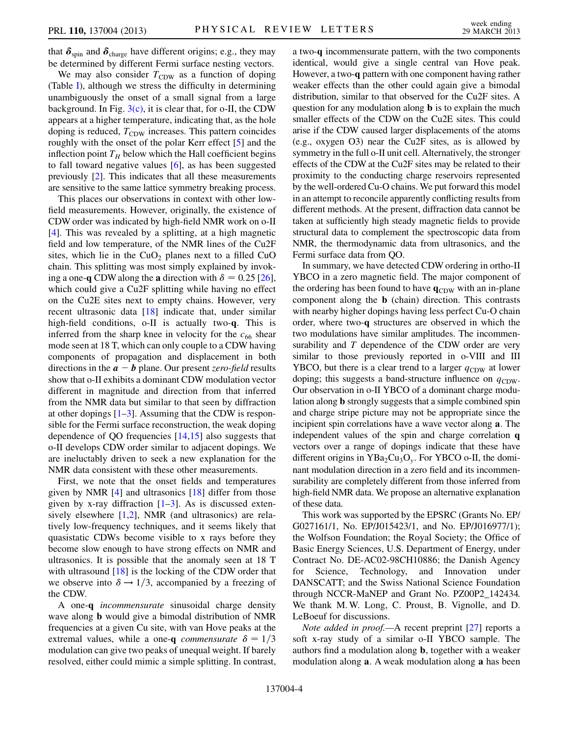that  $\delta_{spin}$  and  $\delta_{charge}$  have different origins; e.g., they may be determined by different Fermi surface nesting vectors.

We may also consider  $T_{CDW}$  as a function of doping (Table [I](#page-2-0)), although we stress the difficulty in determining unambiguously the onset of a small signal from a large background. In Fig.  $3(c)$ , it is clear that, for o-II, the CDW appears at a higher temperature, indicating that, as the hole doping is reduced,  $T_{CDW}$  increases. This pattern coincides roughly with the onset of the polar Kerr effect [\[5\]](#page-5-4) and the inflection point  $T_H$  below which the Hall coefficient begins to fall toward negative values [[6](#page-5-5)], as has been suggested previously [\[2](#page-5-15)]. This indicates that all these measurements are sensitive to the same lattice symmetry breaking process.

This places our observations in context with other lowfield measurements. However, originally, the existence of CDW order was indicated by high-field NMR work on o-II [\[4\]](#page-5-3). This was revealed by a splitting, at a high magnetic field and low temperature, of the NMR lines of the Cu2F sites, which lie in the  $CuO<sub>2</sub>$  planes next to a filled CuO chain. This splitting was most simply explained by invoking a one-q CDW along the a direction with  $\delta = 0.25$  [[26\]](#page-5-23), which could give a Cu2F splitting while having no effect on the Cu2E sites next to empty chains. However, very recent ultrasonic data [\[18\]](#page-5-14) indicate that, under similar high-field conditions, o-II is actually two-q. This is inferred from the sharp knee in velocity for the  $c_{66}$  shear mode seen at 18 T, which can only couple to a CDW having components of propagation and displacement in both directions in the  $a - b$  plane. Our present *zero-field* results show that o-II exhibits a dominant CDW modulation vector different in magnitude and direction from that inferred from the NMR data but similar to that seen by diffraction at other dopings  $[1-3]$  $[1-3]$  $[1-3]$ . Assuming that the CDW is responsible for the Fermi surface reconstruction, the weak doping dependence of QO frequencies [\[14](#page-5-12)[,15\]](#page-5-24) also suggests that o-II develops CDW order similar to adjacent dopings. We are ineluctably driven to seek a new explanation for the NMR data consistent with these other measurements.

First, we note that the onset fields and temperatures given by NMR [\[4\]](#page-5-3) and ultrasonics [[18](#page-5-14)] differ from those given by x-ray diffraction  $[1-3]$  $[1-3]$  $[1-3]$ . As is discussed extensively elsewhere  $[1,2]$  $[1,2]$  $[1,2]$ , NMR (and ultrasonics) are relatively low-frequency techniques, and it seems likely that quasistatic CDWs become visible to x rays before they become slow enough to have strong effects on NMR and ultrasonics. It is possible that the anomaly seen at 18 T with ultrasound [\[18\]](#page-5-14) is the locking of the CDW order that we observe into  $\delta \rightarrow 1/3$ , accompanied by a freezing of the CDW.

A one-q incommensurate sinusoidal charge density wave along b would give a bimodal distribution of NMR frequencies at a given Cu site, with van Hove peaks at the extremal values, while a one-q *commensurate*  $\delta = 1/3$ modulation can give two peaks of unequal weight. If barely resolved, either could mimic a simple splitting. In contrast, a two-q incommensurate pattern, with the two components identical, would give a single central van Hove peak. However, a two-q pattern with one component having rather weaker effects than the other could again give a bimodal distribution, similar to that observed for the Cu2F sites. A question for any modulation along b is to explain the much smaller effects of the CDW on the Cu2E sites. This could arise if the CDW caused larger displacements of the atoms (e.g., oxygen O3) near the Cu2F sites, as is allowed by symmetry in the full o-II unit cell. Alternatively, the stronger effects of the CDW at the Cu2F sites may be related to their proximity to the conducting charge reservoirs represented by the well-ordered Cu-O chains. We put forward this model in an attempt to reconcile apparently conflicting results from different methods. At the present, diffraction data cannot be taken at sufficiently high steady magnetic fields to provide structural data to complement the spectroscopic data from NMR, the thermodynamic data from ultrasonics, and the Fermi surface data from QO.

In summary, we have detected CDW ordering in ortho-II YBCO in a zero magnetic field. The major component of the ordering has been found to have  $q_{CDW}$  with an in-plane component along the b (chain) direction. This contrasts with nearby higher dopings having less perfect Cu-O chain order, where two-q structures are observed in which the two modulations have similar amplitudes. The incommensurability and T dependence of the CDW order are very similar to those previously reported in o-VIII and III YBCO, but there is a clear trend to a larger  $q_{CDW}$  at lower doping; this suggests a band-structure influence on  $q_{CDW}$ . Our observation in o-II YBCO of a dominant charge modulation along b strongly suggests that a simple combined spin and charge stripe picture may not be appropriate since the incipient spin correlations have a wave vector along a. The independent values of the spin and charge correlation q vectors over a range of dopings indicate that these have different origins in  $YBa<sub>2</sub>Cu<sub>3</sub>O<sub>v</sub>$ . For YBCO o-II, the dominant modulation direction in a zero field and its incommensurability are completely different from those inferred from high-field NMR data. We propose an alternative explanation of these data.

This work was supported by the EPSRC (Grants No. EP/ G027161/1, No. EP/J015423/1, and No. EP/J016977/1); the Wolfson Foundation; the Royal Society; the Office of Basic Energy Sciences, U.S. Department of Energy, under Contract No. DE-AC02-98CH10886; the Danish Agency for Science, Technology, and Innovation under DANSCATT; and the Swiss National Science Foundation through NCCR-MaNEP and Grant No. PZ00P2\_142434. We thank M. W. Long, C. Proust, B. Vignolle, and D. LeBoeuf for discussions.

Note added in proof.—A recent preprint [[27](#page-5-25)] reports a soft x-ray study of a similar o-II YBCO sample. The authors find a modulation along b, together with a weaker modulation along a. A weak modulation along a has been